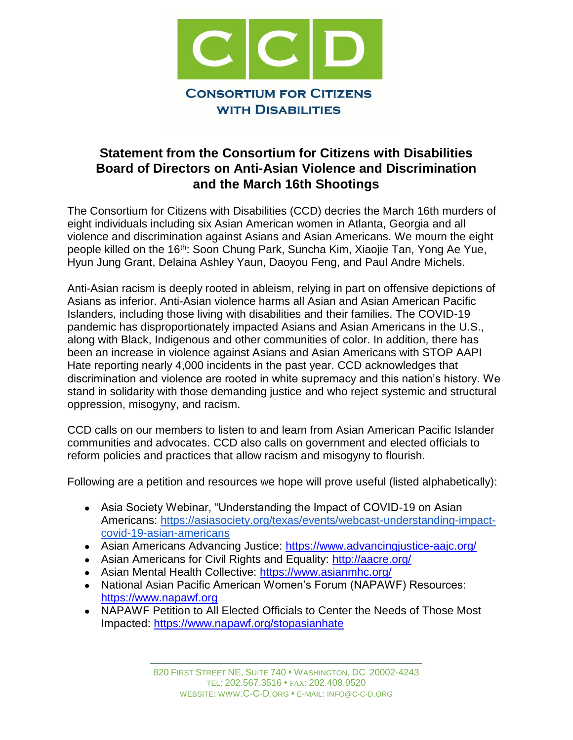

## **Statement from the Consortium for Citizens with Disabilities Board of Directors on Anti-Asian Violence and Discrimination and the March 16th Shootings**

The Consortium for Citizens with Disabilities (CCD) decries the March 16th murders of eight individuals including six Asian American women in Atlanta, Georgia and all violence and discrimination against Asians and Asian Americans. We mourn the eight people killed on the 16<sup>th</sup>: Soon Chung Park, Suncha Kim, Xiaojie Tan, Yong Ae Yue, Hyun Jung Grant, Delaina Ashley Yaun, Daoyou Feng, and Paul Andre Michels.

Anti-Asian racism is deeply rooted in ableism, relying in part on offensive depictions of Asians as inferior. Anti-Asian violence harms all Asian and Asian American Pacific Islanders, including those living with disabilities and their families. The COVID-19 pandemic has disproportionately impacted Asians and Asian Americans in the U.S., along with Black, Indigenous and other communities of color. In addition, there has been an increase in violence against Asians and Asian Americans with STOP AAPI Hate reporting nearly 4,000 incidents in the past year. CCD acknowledges that discrimination and violence are rooted in white supremacy and this nation's history. We stand in solidarity with those demanding justice and who reject systemic and structural oppression, misogyny, and racism.

CCD calls on our members to listen to and learn from Asian American Pacific Islander communities and advocates. CCD also calls on government and elected officials to reform policies and practices that allow racism and misogyny to flourish.

Following are a petition and resources we hope will prove useful (listed alphabetically):

- Asia Society Webinar, "Understanding the Impact of COVID-19 on Asian Americans: [https://asiasociety.org/texas/events/webcast-understanding-impact](https://asiasociety.org/texas/events/webcast-understanding-impact-covid-19-asian-americans)[covid-19-asian-americans](https://asiasociety.org/texas/events/webcast-understanding-impact-covid-19-asian-americans)
- Asian Americans Advancing Justice:<https://www.advancingjustice-aajc.org/>
- Asian Americans for Civil Rights and Equality:<http://aacre.org/>
- Asian Mental Health Collective:<https://www.asianmhc.org/>
- National Asian Pacific American Women's Forum (NAPAWF) Resources: [https://www.napawf.org](https://www.napawf.org/)
- NAPAWF Petition to All Elected Officials to Center the Needs of Those Most Impacted:<https://www.napawf.org/stopasianhate>